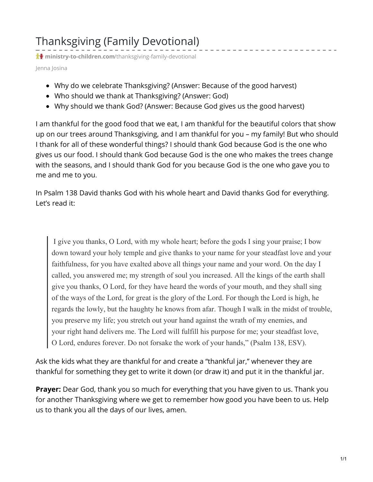## Thanksgiving (Family Devotional)

**t** ministry-to-children.com[/thanksgiving-family-devotional](https://ministry-to-children.com/thanksgiving-family-devotional/)

Jenna Josina

- Why do we celebrate Thanksgiving? (Answer: Because of the good harvest)
- Who should we thank at Thanksgiving? (Answer: God)
- Why should we thank God? (Answer: Because God gives us the good harvest)

I am thankful for the good food that we eat, I am thankful for the beautiful colors that show up on our trees around Thanksgiving, and I am thankful for you – my family! But who should I thank for all of these wonderful things? I should thank God because God is the one who gives us our food. I should thank God because God is the one who makes the trees change with the seasons, and I should thank God for you because God is the one who gave you to me and me to you.

In Psalm 138 David thanks God with his whole heart and David thanks God for everything. Let's read it:

 I give you thanks, O Lord, with my whole heart; before the gods I sing your praise; I bow down toward your holy temple and give thanks to your name for your steadfast love and your faithfulness, for you have exalted above all things your name and your word. On the day I called, you answered me; my strength of soul you increased. All the kings of the earth shall give you thanks, O Lord, for they have heard the words of your mouth, and they shall sing of the ways of the Lord, for great is the glory of the Lord. For though the Lord is high, he regards the lowly, but the haughty he knows from afar. Though I walk in the midst of trouble, you preserve my life; you stretch out your hand against the wrath of my enemies, and your right hand delivers me. The Lord will fulfill his purpose for me; your steadfast love, O Lord, endures forever. Do not forsake the work of your hands," (Psalm 138, ESV).

Ask the kids what they are thankful for and create a "thankful jar," whenever they are thankful for something they get to write it down (or draw it) and put it in the thankful jar.

**Prayer:** Dear God, thank you so much for everything that you have given to us. Thank you for another Thanksgiving where we get to remember how good you have been to us. Help us to thank you all the days of our lives, amen.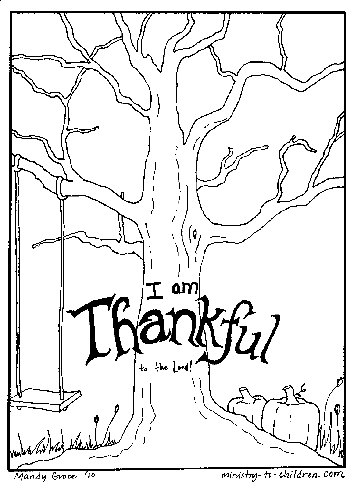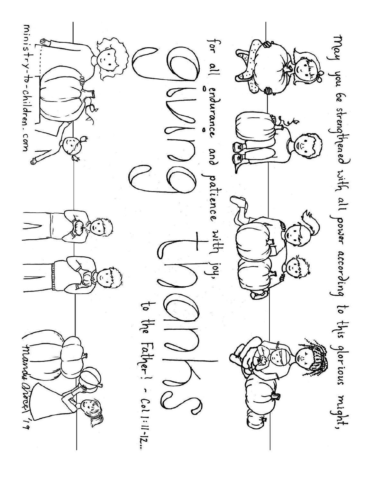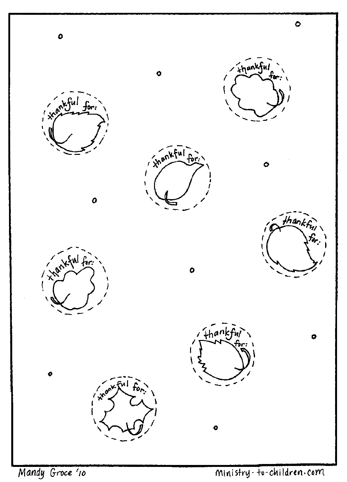

Mandy Groce '10

## Ministry-to-children.com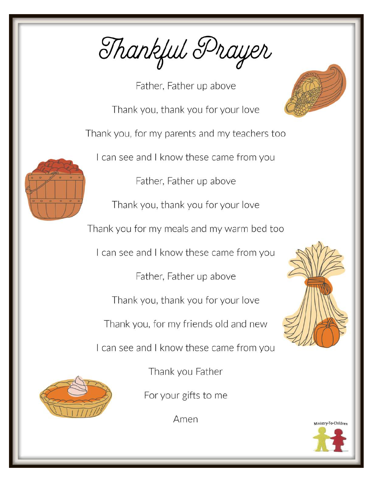Thankful Prayer

Father, Father up above Thank you, thank you for your love Thank you, for my parents and my teachers too I can see and I know these came from you Father, Father up above Thank you, thank you for your love Thank you for my meals and my warm bed too I can see and I know these came from you Father, Father up above Thank you, thank you for your love Thank you, for my friends old and new I can see and I know these came from you



Thank you Father

For your gifts to me

Amen



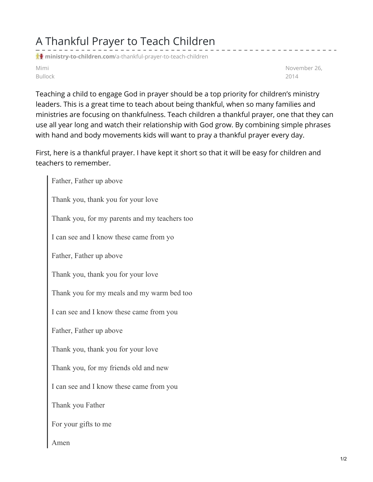## A Thankful Prayer to Teach Children

**ministry-to-children.com**[/a-thankful-prayer-to-teach-children](https://ministry-to-children.com/a-thankful-prayer-to-teach-children/)

Mimi Bullock November 26, 2014

Teaching a child to engage God in prayer should be a top priority for children's ministry leaders. This is a great time to teach about being thankful, when so many families and ministries are focusing on thankfulness. Teach children a thankful prayer, one that they can use all year long and watch their relationship with God grow. By combining simple phrases with hand and body movements kids will want to pray a thankful prayer every day.

First, here is a thankful prayer. I have kept it short so that it will be easy for children and teachers to remember.

Father, Father up above Thank you, thank you for your love Thank you, for my parents and my teachers too I can see and I know these came from yo Father, Father up above Thank you, thank you for your love Thank you for my meals and my warm bed too I can see and I know these came from you Father, Father up above Thank you, thank you for your love Thank you, for my friends old and new I can see and I know these came from you Thank you Father For your gifts to me Amen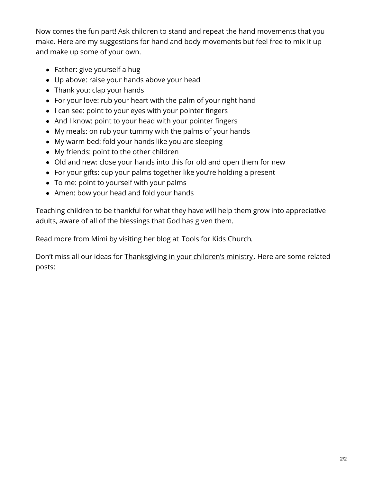Now comes the fun part! Ask children to stand and repeat the hand movements that you make. Here are my suggestions for hand and body movements but feel free to mix it up and make up some of your own.

- Father: give yourself a hug
- Up above: raise your hands above your head
- Thank you: clap your hands
- For your love: rub your heart with the palm of your right hand
- I can see: point to your eyes with your pointer fingers
- And I know: point to your head with your pointer fingers
- My meals: on rub your tummy with the palms of your hands
- My warm bed: fold your hands like you are sleeping
- My friends: point to the other children
- Old and new: close your hands into this for old and open them for new
- For your gifts: cup your palms together like you're holding a present
- To me: point to yourself with your palms
- Amen: bow your head and fold your hands

Teaching children to be thankful for what they have will help them grow into appreciative adults, aware of all of the blessings that God has given them.

Read more from Mimi by visiting her blog at Tools for Kids [Church](https://ministry-to-children.com/category/object-lessons/).

Don't miss all our ideas for [Thanksgiving](https://ministry-to-children.com/thanksgiving-lesson/) in your children's ministry. Here are some related posts: